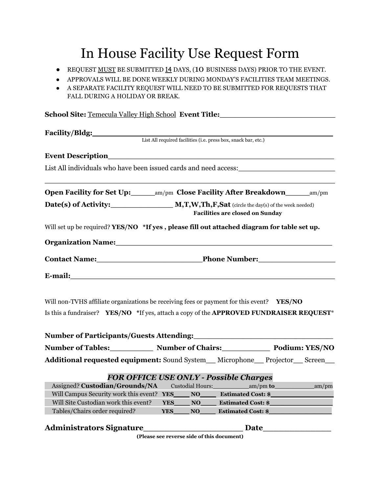## In House Facility Use Request Form

- REQUEST MUST BE SUBMITTED 14 DAYS, (10 BUSINESS DAYS) PRIOR TO THE EVENT.
- APPROVALS WILL BE DONE WEEKLY DURING MONDAY'S FACILITIES TEAM MEETINGS.
- A SEPARATE FACILITY REQUEST WILL NEED TO BE SUBMITTED FOR REQUESTS THAT FALL DURING A HOLIDAY OR BREAK.

| School Site: Temecula Valley High School Event Title:                                                          |  |  |
|----------------------------------------------------------------------------------------------------------------|--|--|
| Facility/Bldg:<br>List All required facilities (i.e. press box, snack bar, etc.)                               |  |  |
|                                                                                                                |  |  |
|                                                                                                                |  |  |
|                                                                                                                |  |  |
| Open Facility for Set Up: ________ am/pm Close Facility After Breakdown _______ am/pm                          |  |  |
| <b>Facilities are closed on Sunday</b>                                                                         |  |  |
| Will set up be required? YES/NO *If yes, please fill out attached diagram for table set up.                    |  |  |
| Organization Name: 1988 and 2008 and 2008 and 2010 and 2010 and 2010 and 2010 and 2010 and 2010 and 2010 and 2 |  |  |
|                                                                                                                |  |  |
|                                                                                                                |  |  |
|                                                                                                                |  |  |
| Will non-TVHS affiliate organizations be receiving fees or payment for this event? YES/NO                      |  |  |
| Is this a fundraiser? YES/NO *If yes, attach a copy of the APPROVED FUNDRAISER REQUEST*                        |  |  |
|                                                                                                                |  |  |
|                                                                                                                |  |  |
| Additional requested equipment: Sound System_Microphone_Projector_Screen_                                      |  |  |
|                                                                                                                |  |  |
| <b>FOR OFFICE USE ONLY - Possible Charges</b>                                                                  |  |  |
| _am/pm<br>Will Campus Security work this event?<br><b>YES</b><br>NO<br><b>Estimated Cost: \$</b>               |  |  |
| Will Site Custodian work this event?<br>NO<br><b>Estimated Cost: \$</b><br><b>YES</b>                          |  |  |
| Tables/Chairs order required?<br><b>Estimated Cost: \$</b><br>YES <sub>.</sub><br>NO                           |  |  |
| <b>Administrators Signature</b><br>Date                                                                        |  |  |

**(Please see reverse side of this document)**